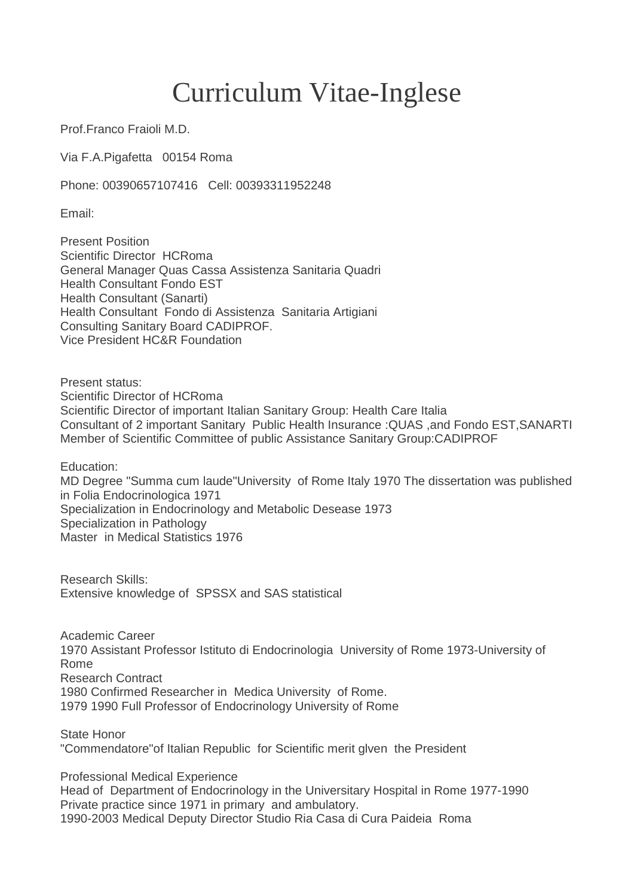## Curriculum Vitae-Inglese

Prof.Franco Fraioli M.D.

Via F.A.Pigafetta 00154 Roma

Phone: 00390657107416 Cell: 00393311952248

Email:

Present Position Scientific Director HCRoma General Manager Quas Cassa Assistenza Sanitaria Quadri Health Consultant Fondo EST Health Consultant (Sanarti) Health Consultant Fondo di Assistenza Sanitaria Artigiani Consulting Sanitary Board CADIPROF. Vice President HC&R Foundation

Present status: Scientific Director of HCRoma Scientific Director of important Italian Sanitary Group: Health Care Italia Consultant of 2 important Sanitary Public Health Insurance :QUAS ,and Fondo EST,SANARTI Member of Scientific Committee of public Assistance Sanitary Group:CADIPROF

Education:

MD Degree "Summa cum laude"University of Rome Italy 1970 The dissertation was published in Folia Endocrinologica 1971 Specialization in Endocrinology and Metabolic Desease 1973 Specialization in Pathology Master in Medical Statistics 1976

Research Skills: Extensive knowledge of SPSSX and SAS statistical

Academic Career 1970 Assistant Professor Istituto di Endocrinologia University of Rome 1973-University of Rome Research Contract 1980 Confirmed Researcher in Medica University of Rome. 1979 1990 Full Professor of Endocrinology University of Rome

State Honor "Commendatore"of Italian Republic for Scientific merit glven the President

Professional Medical Experience Head of Department of Endocrinology in the Universitary Hospital in Rome 1977-1990 Private practice since 1971 in primary and ambulatory. 1990-2003 Medical Deputy Director Studio Ria Casa di Cura Paideia Roma